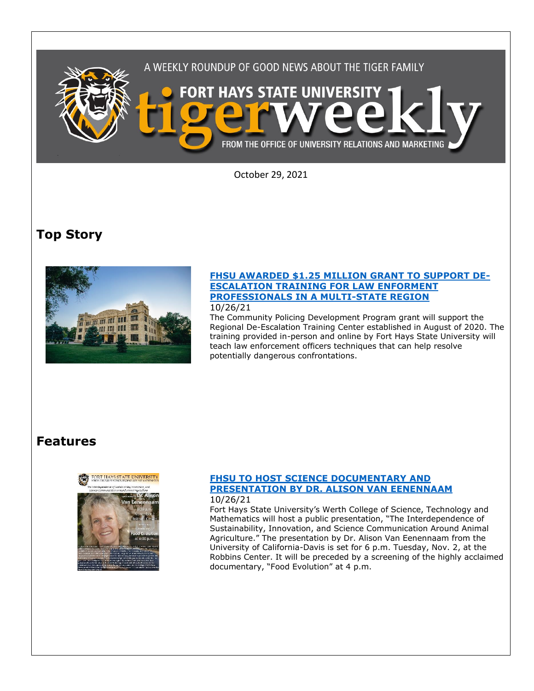

October 29, 2021

# **Top Story**



#### **[FHSU AWARDED \\$1.25 MILLION GRANT TO SUPPORT DE-](https://www.fhsu.edu/news/2021/10/fhsu-awarded-1.25-million-grant-to-support-de-escalation-training-for-law-enforcement-professionals-in-a-multi-state-region)[ESCALATION TRAINING FOR LAW ENFORMENT](https://www.fhsu.edu/news/2021/10/fhsu-awarded-1.25-million-grant-to-support-de-escalation-training-for-law-enforcement-professionals-in-a-multi-state-region)  [PROFESSIONALS IN A MULTI-STATE REGION](https://www.fhsu.edu/news/2021/10/fhsu-awarded-1.25-million-grant-to-support-de-escalation-training-for-law-enforcement-professionals-in-a-multi-state-region)** 10/26/21

The Community Policing Development Program grant will support the Regional De-Escalation Training Center established in August of 2020. The training provided in-person and online by Fort Hays State University will teach law enforcement officers techniques that can help resolve potentially dangerous confrontations.

## **Features**



#### **[FHSU TO HOST SCIENCE DOCUMENTARY AND](https://www.fhsu.edu/news/2021/10/fhsu-to-host-science-documentary-and-presentation-by-dr.-alison-van-eenennaam)  [PRESENTATION BY DR. ALISON VAN EENENNAAM](https://www.fhsu.edu/news/2021/10/fhsu-to-host-science-documentary-and-presentation-by-dr.-alison-van-eenennaam)** 10/26/21

Fort Hays State University's Werth College of Science, Technology and Mathematics will host a public presentation, "The Interdependence of Sustainability, Innovation, and Science Communication Around Animal Agriculture." The presentation by Dr. Alison Van Eenennaam from the University of California-Davis is set for 6 p.m. Tuesday, Nov. 2, at the Robbins Center. It will be preceded by a screening of the highly acclaimed documentary, "Food Evolution" at 4 p.m.